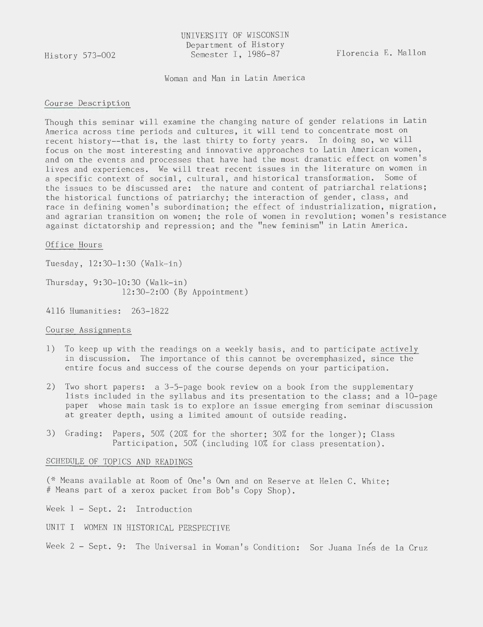History 573-002

UNIVERSITY OF WISCONSIN Department of History Semester I, 1986-87

Florencia E. Mallon

Woman and Man in Latin America

## Course Description

Though this seminar will examine the changing nature of gender relations in Latin America across time periods and cultures, it will tend to concentrate most on recent history--that is, the last thirty to forty years. In doing so, we will focus on the most interesting and innovative approaches to Latin American women, and on the events and processes that have had the most dramatic effect on women's lives and experiences. We will treat recent issues in the literature on women in a specific context of social, cultural, and historical transformation. Some of the issues to be discussed are: the nature and content of patriarchal relations; the historical functions of patriarchy; the interaction of gender, class, and race in defining women's subordination; the effect of industrialization, migration, and agrarian transition on women; the role of women in revolution; women's resistance against dictatorship and repression; and the "new feminism" in Latin America.

#### Office Hours

Tuesday, 12:30-1:30 (Walk-in)

Thursday, 9:30-10:30 (Walk-in) 12:30-2:00 (By Appointment)

4116 Humanities: 263-1822

### Course Assignments

- 1) To keep up with the readings on a weekly basis, and to participate actively in discussion. The importance of this cannot be overemphasized, since the entire focus and success of the course depends on your participation.
- 2) Two short papers: a 3-5-page book review on a book from the supplementary lists included in the syllabus and its presentation to the class; and a 10-page paper whose main task is to explore an issue emerging from seminar discussion at greater depth, using a limited amount of outside reading.
- 3) Grading: Papers, 50% (20% for the shorter; 30% for the longer); Class Participation, 50% (including 10% for class presentation).

# SCHEDULE OF TOPICS AND READINGS

(\* Means available at Room of One's Own and on Reserve at Helen C. White; #Means part of a xerox packet from Bob's Copy Shop).

Week 1 - Sept. 2: Introduction

- UNIT I WOMEN IN HISTORICAL PERSPECTIVE
- Week 2 Sept. 9: The Universal in Woman's Condition: Sor Juana Ines de la Cruz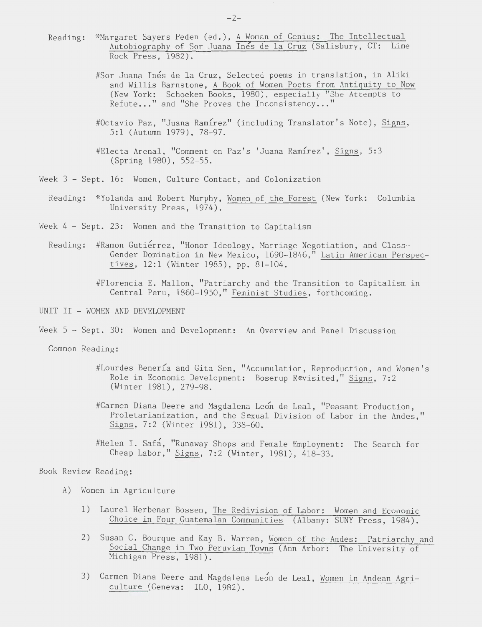- Reading: \*Margaret Sayers Peden (ed.), <u>A Woman of Genius: The Intellectual</u> Autobiography of Sor Juana Ines de la Cruz (Salisbury, CT: Lime Rock Press, 1982).
	- #Sor Juana Inés de la Cruz, Selected poems in translation, in Aliki and Willis Barnstone, A Book of Women Poets from Antiquity to Now (New York: Schoeken Books, 1980), especially "She Attempts to Refute..." and "She Proves the Inconsistency..."
	- #Octavio Paz, "Juana Ramírez" (including Translator's Note), Signs, 5:1 (Autumn 1979), 78-97.
	- #Electa Arenal, "Comment on Paz's 'Juana Ramírez', Signs, 5:3 (Spring 1980), 552-55.
- Week 3 Sept. 16: Women, Culture Contact, and Colonization
	- Reading: \*Yolanda and Robert Murphy, Women of the Forest (New York: Columbia University Press, 1974).
- Week 4 Sept. 23: Women and the Transition to Capitalism
	- Reading: #Ramon Gutiérrez, "Honor Ideology, Marriage Negotiation, and Class-Gender Domination in New Mexico, 1690-1846," Latin American Perspectives, 12:1 (Winter 1985), pp. 81-104.
		- #Florencia E. Mallon, "Patriarchy and the Transition to Capitalism in Central Peru, 1860-1950," Feminist Studies, forthcoming.
- UNIT II WOMEN AND DEVELOPMENT
- Week 5 Sept. 30: Women and Development: An Overview and Panel Discussion

Common Reading:

- #Lourdes Benería and Gita Sen, "Accumulation, Reproduction, and Women's Role in Economic Development: Boserup Revisited," Signs, 7:2 (Winter 1981), 279-98.
- #Carmen Diana Deere and Magdalena Leon de Leal, "Peasant Production, Proletarianization, and the Sexual Division of Labor in the Andes," Signs, 7:2 (Winter 1981), 338-60.
- #Helen I. Safa, "Runaway Shops and Female Employment: The Search for Cheap Labor," Signs, 7:2 (Winter, 1981), 418-33.

#### Book Review Reading:

- A) Women in Agriculture
	- 1) Laurel Herbenar Bossen, The Redivision of Labor: Women and Economic Choice in Four Guatemalan Communities (Albany: SUNY Press, 1984).
	- 2) Susan C. Bourque and Kay B. Warren, Women of the Andes: Patriarchy and Social Change in Two Peruvian Towns (Ann Arbor: The University of Michigan Press, 1981).
	- 3) Carmen Diana Deere and Magdalena Leon de Leal, Women in Andean Agriculture (Geneva: ILO, 1982).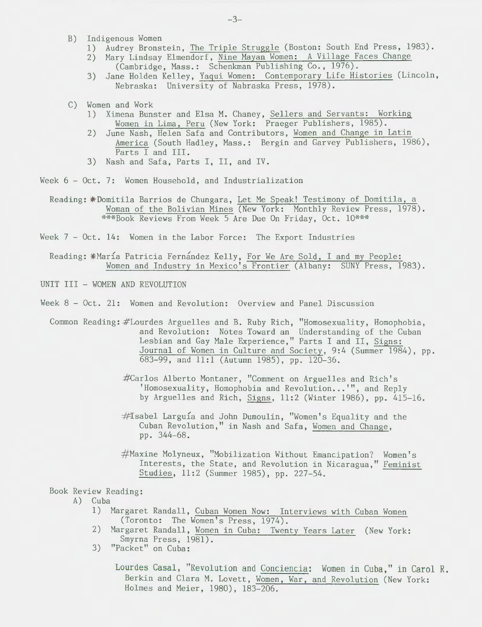- B) Indigenous Women
	- 1) Audrey Bronstein, The Triple Struggle (Boston: South End Press, 1983).
	- 2) Mary Lindsay Elmendorf, Nine Mayan Women: A Village Faces Change (Cambridge, Mass.: Schenkman Publishing Co., 1976).
	- 3) Jane Holden Kelley, Yaqui Women: Contemporary Life Histories (Lincoln, Nebraska: University of Nabraska Press, 1978).
- C) Women and Work
	- 1) Ximena Bunster and Elsa M. Chaney, Sellers and Servants: Working Women in Lima, Peru (New York: Praeger Publishers, 1985).
	- 2) June Nash, Helen Safa and Contributors, Women and Change in Latin America (South Hadley, Mass.: Bergin and Garvey Publishers, 1986), Parts I and III.
	- 3) Nash and Safa, Parts I, II, and IV.

Week 6 - Oct. 7: Women Household, and Industrialization

Reading: \* Domitila Barrios de Chungara, Let Me Speak! Testimony of Domitila, a Woman of the Bolivian Mines (New York: Monthly Review Press, 1978). \*\*\*Book Reviews From Week 5 Are Due On Friday, Oct. 10\*\*\*

Week 7 - Oct. 14: Women in the Labor Force: The Export Industries

Reading: \*María Patricia Fernández Kelly, For We Are Sold, I and my People: Women and Industry in Mexico's Frontier (Albany: SUNY Press, 1983).

UNIT III - WOMEN AND REVOLUTION

Week 8 - Oct. 21: Women and Revolution: Overview and Panel Discussion

Common Reading: #Lourdes Arguelles and B. Ruby Rich, "Homosexuality, Homophobia, and Revolution: Notes Toward an Understanding of the Cuban Lesbian and Gay Male Experience," Parts I and II, Signs: Journal of Women in Culture and Society, 9:4 (Summer 1984), pp. 683-99, and 11:1 (Autumn 1985), pp. 120-36.

- #Carlos Alberto Montaner, "Comment on Arguelles and Rich's 'Homosexuality, Homophobia and Revolution...'", and Reply by Arguelles and Rich, Signs, 11:2 (Winter 1986), pp. 415-16.
- #Isabel Larguía and John Dumoulin, "Women's Equality and the Cuban Revolution," in Nash and Safa, Women and Change, pp. 344-68.
- # Maxine Molyneux, "Mobilization Without Emancipation? Women's Interests, the State, and Revolution in Nicaragua," Feminist Studies, 11:2 (Summer 1985), pp. 227-54.

Book Review Reading:

- A) Cuba
	- 1) Margaret Randall, Cuban Women Now: Interviews with Cuban Women (Toronto: The Women's Press, 1974).
	- 2) Margaret Randall, Women in Cuba: Twenty Years Later (New York: Smyrna Press, 1981).
	- 3) "Packet" on Cuba:

Lourdes Casal, "Revolution and Conciencia: Women in Cuba," in Carol R. Berkin and Clara M. Lovett, Women, War, and Revolution (New York: Holmes and Meier, 1980), 183-206.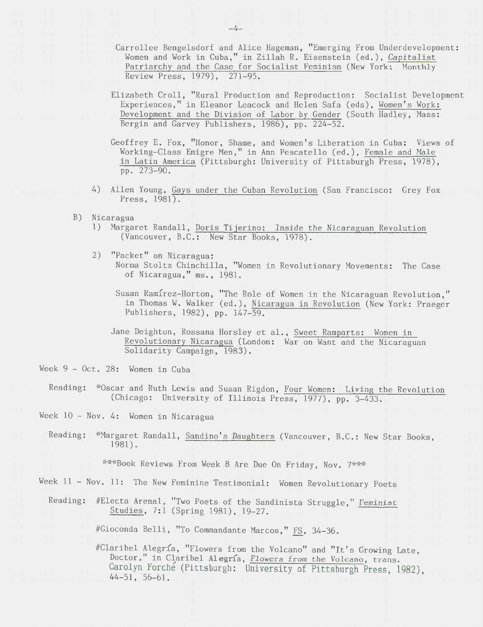- Carrollee Bengelsdorf and Alice Hageman, "Emerging From Underdevelopment: Women and Work in Cuba," in Zillah R. Eisenstein (ed.), Capitalist Patriarchy and the Case for Socialist Feminism (New York: Monthly Review Press, 1979), 271-95.
- Elizabeth Croll, "Rural Production and Reproduction: Socialist Development Experiences," in Eleanor Leacock and Helen Safa (eds), Women's Work: Development and the Division of Labor by Gender (South Hadley, Mass: Bergin and Garvey Publishers, 1986), pp. 224-52.
- Geoffrey E. Fox, "Honor, Shame, and Women's Liberation in Cuba: Views of Working-Class Emigre Men," in Ann Pescatello (ed.), Female and Male in Latin America (Pittsburgh: University of Pittsburgh Press, 1978), pp. 273-90.
- 4) Allen Young, Gays under the Cuban Revolution (San Francisco: Grey Fox Press, 1981).
- B) Nicaragua
	- 1) Margaret Randall, Doris Tijerino: Inside the Nicaraguan Revolution (Vancouver, B.C.: New Star Books, 1978).
	- 2) "Packet" on Nicaragua: Norma Stoltz Chinchilla, "Women in Revolutionary Movements: The Case of Nicaragua," ms., 1981.
		- Susan Ramirez-Horton, "The Role of Women in the Nicaraguan Revolution," in Thomas W. Walker (ed.), Nicaragua in Revolution (New York: Praeger Publishers, 1982), pp. 147-59.
		- Jane Deighton, Rossana Horsley et al., Sweet Ramparts: Women in Revolutionary Nicaragua (London: War on Want and the Nicaraguan Solidarity Campaign, 1983).
- Week 9 Oct. 28: Women in Cuba
	- Reading: \*Oscar and Ruth Lewis and Susan Rigdon, Four Women: Living the Revolution (Chicago: University of Illinois Press, 1977), pp. 3-433.
- Week 10 Nov. 4: Women in Nicaragua
	- Reading: \*Margaret Randall, Sandino's Daughters (Vancouver, B.C.: New Star Books, 1981).

\*\*\*Book Reviews From Week 8 Are Due On Friday, Nov. 7\*\*\*

- Week 11 Nov. 11: The New Feminine Testimonial: Women Revolutionary Poets
	- Reading: #Electa Arenal, "Two Poets of the Sandinista Struggle," Feminist Studies, 7:1 (Spring 1981), 19-27.

#Gioconda Belli, "To Commandante Marcos," FS, 34-36.

#Claribel Alegria, "Flowers from the Volcano" and "It's Growing Late, Doctor," in Claribel Alegría, Flowers from the Volcano, trans. Carolyn Forche (Pittsburgh: University of Pittsburgh Press, 1982), 44-51, 56-61.